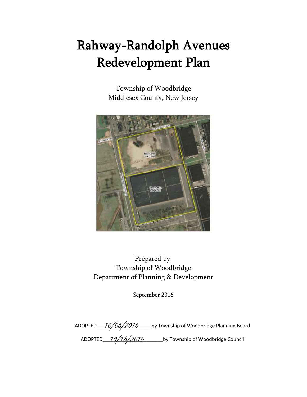# Rahway-Randolph Avenues Redevelopment Plan

Township of Woodbridge Middlesex County, New Jersey



Prepared by: Township of Woodbridge Department of Planning & Development

September 2016

ADOPTED 10/05/2016 Loy Township of Woodbridge Planning Board ADOPTED\_\_\_\_\_\_\_\_\_\_\_\_\_\_\_\_\_\_\_\_\_\_\_\_\_\_\_\_\_\_\_by Township of Woodbridge Council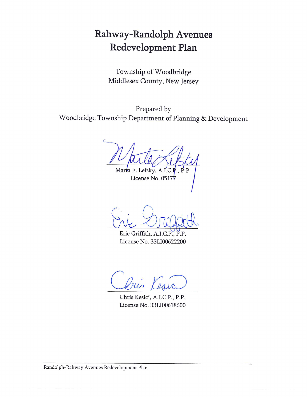# Rahway-Randolph Avenues Redevelopment Plan

Township of Woodbridge Middlesex County, New Jersey

Prepared by Woodbridge Township Department of Planning & Development

Marta E. Lefsky, A.I.C ., P.P.

License No. 0517

Eric Griffith, A.I.C.P.,  $\overline{P}$ . $\overline{P}$ License No. 33LI00622200

Chris Kesici, A.I.C.P., P.P. License No. 33LI00618600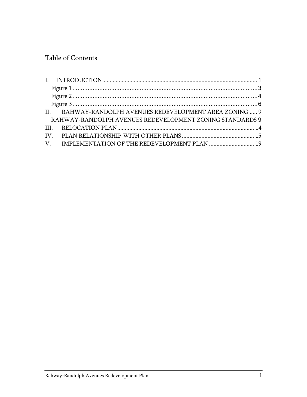# Table of Contents

| II. RAHWAY-RANDOLPH AVENUES REDEVELOPMENT AREA ZONING  9 |  |
|----------------------------------------------------------|--|
| RAHWAY-RANDOLPH AVENUES REDEVELOPMENT ZONING STANDARDS 9 |  |
|                                                          |  |
|                                                          |  |
|                                                          |  |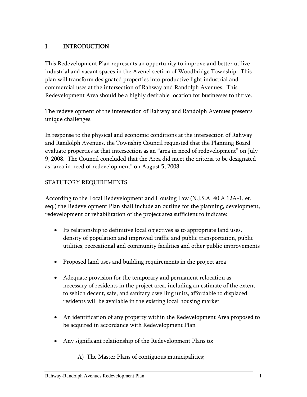# <span id="page-3-0"></span>I. INTRODUCTION

This Redevelopment Plan represents an opportunity to improve and better utilize industrial and vacant spaces in the Avenel section of Woodbridge Township. This plan will transform designated properties into productive light industrial and commercial uses at the intersection of Rahway and Randolph Avenues. This Redevelopment Area should be a highly desirable location for businesses to thrive.

The redevelopment of the intersection of Rahway and Randolph Avenues presents unique challenges.

In response to the physical and economic conditions at the intersection of Rahway and Randolph Avenues, the Township Council requested that the Planning Board evaluate properties at that intersection as an "area in need of redevelopment" on July 9, 2008. The Council concluded that the Area did meet the criteria to be designated as "area in need of redevelopment" on August 5, 2008.

# STATUTORY REQUIREMENTS

According to the Local Redevelopment and Housing Law (N.J.S.A. 40:A 12A-1, et. seq.) the Redevelopment Plan shall include an outline for the planning, development, redevelopment or rehabilitation of the project area sufficient to indicate:

- Its relationship to definitive local objectives as to appropriate land uses, density of population and improved traffic and public transportation, public utilities, recreational and community facilities and other public improvements
- Proposed land uses and building requirements in the project area
- Adequate provision for the temporary and permanent relocation as necessary of residents in the project area, including an estimate of the extent to which decent, safe, and sanitary dwelling units, affordable to displaced residents will be available in the existing local housing market
- An identification of any property within the Redevelopment Area proposed to be acquired in accordance with Redevelopment Plan
- Any significant relationship of the Redevelopment Plans to:
	- A) The Master Plans of contiguous municipalities;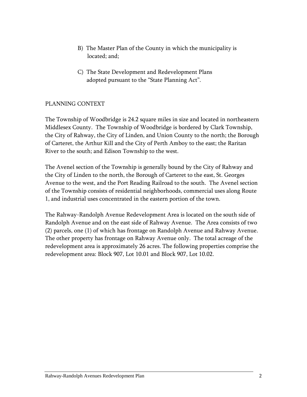- B) The Master Plan of the County in which the municipality is located; and;
- C) The State Development and Redevelopment Plans adopted pursuant to the "State Planning Act".

# PLANNING CONTEXT

The Township of Woodbridge is 24.2 square miles in size and located in northeastern Middlesex County. The Township of Woodbridge is bordered by Clark Township, the City of Rahway, the City of Linden, and Union County to the north; the Borough of Carteret, the Arthur Kill and the City of Perth Amboy to the east; the Raritan River to the south; and Edison Township to the west.

The Avenel section of the Township is generally bound by the City of Rahway and the City of Linden to the north, the Borough of Carteret to the east, St. Georges Avenue to the west, and the Port Reading Railroad to the south. The Avenel section of the Township consists of residential neighborhoods, commercial uses along Route 1, and industrial uses concentrated in the eastern portion of the town.

The Rahway-Randolph Avenue Redevelopment Area is located on the south side of Randolph Avenue and on the east side of Rahway Avenue. The Area consists of two (2) parcels, one (1) of which has frontage on Randolph Avenue and Rahway Avenue. The other property has frontage on Rahway Avenue only. The total acreage of the redevelopment area is approximately 26 acres. The following properties comprise the redevelopment area: Block 907, Lot 10.01 and Block 907, Lot 10.02.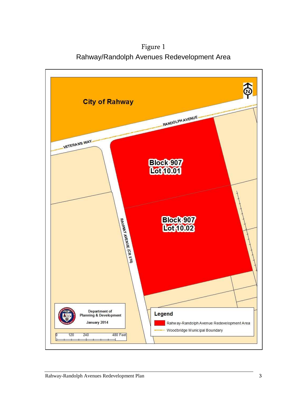Figure 1 Rahway/Randolph Avenues Redevelopment Area

<span id="page-5-0"></span>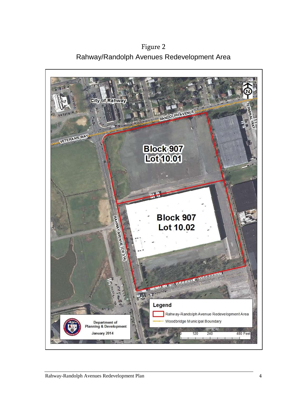<span id="page-6-0"></span>Figure 2 Rahway/Randolph Avenues Redevelopment Area

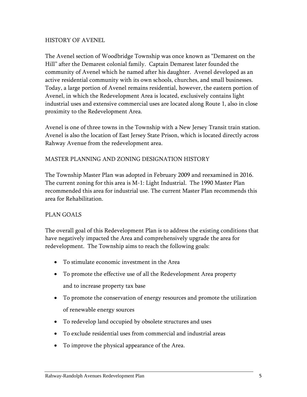#### HISTORY OF AVENEL

The Avenel section of Woodbridge Township was once known as "Demarest on the Hill" after the Demarest colonial family. Captain Demarest later founded the community of Avenel which he named after his daughter. Avenel developed as an active residential community with its own schools, churches, and small businesses. Today, a large portion of Avenel remains residential, however, the eastern portion of Avenel, in which the Redevelopment Area is located, exclusively contains light industrial uses and extensive commercial uses are located along Route 1, also in close proximity to the Redevelopment Area.

Avenel is one of three towns in the Township with a New Jersey Transit train station. Avenel is also the location of East Jersey State Prison, which is located directly across Rahway Avenue from the redevelopment area.

#### MASTER PLANNING AND ZONING DESIGNATION HISTORY

The Township Master Plan was adopted in February 2009 and reexamined in 2016. The current zoning for this area is M-1: Light Industrial. The 1990 Master Plan recommended this area for industrial use. The current Master Plan recommends this area for Rehabilitation.

#### PLAN GOALS

The overall goal of this Redevelopment Plan is to address the existing conditions that have negatively impacted the Area and comprehensively upgrade the area for redevelopment. The Township aims to reach the following goals:

- To stimulate economic investment in the Area
- To promote the effective use of all the Redevelopment Area property and to increase property tax base
- To promote the conservation of energy resources and promote the utilization of renewable energy sources
- To redevelop land occupied by obsolete structures and uses
- To exclude residential uses from commercial and industrial areas
- To improve the physical appearance of the Area.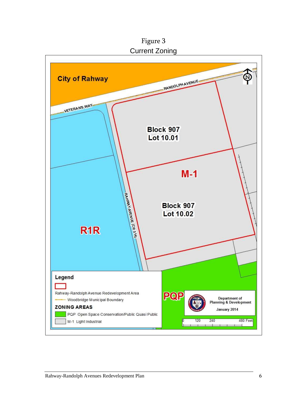Figure 3 Current Zoning

<span id="page-8-0"></span>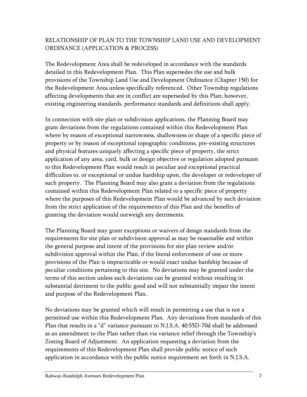# RELATIONSHIP OF PLAN TO THE TOWNSHIP LAND USE AND DEVELOPMENT ORDINANCE (APPLICATION & PROCESS)

The Redevelopment Area shall be redeveloped in accordance with the standards detailed in this Redevelopment Plan. This Plan supersedes the use and bulk provisions of the Township Land Use and Development Ordinance (Chapter 150) for the Redevelopment Area unless specifically referenced. Other Township regulations affecting developments that are in conflict are superseded by this Plan; however, existing engineering standards, performance standards and definitions shall apply.

In connection with site plan or subdivision applications, the Planning Board may grant deviations from the regulations contained within this Redevelopment Plan where by reason of exceptional narrowness, shallowness or shape of a specific piece of property or by reason of exceptional topographic conditions, pre-existing structures and physical features uniquely affecting a specific piece of property, the strict application of any area, yard, bulk or design objective or regulation adopted pursuant to this Redevelopment Plan would result in peculiar and exceptional practical difficulties to, or exceptional or undue hardship upon, the developer or redeveloper of such property. The Planning Board may also grant a deviation from the regulations contained within this Redevelopment Plan related to a specific piece of property where the purposes of this Redevelopment Plan would be advanced by such deviation from the strict application of the requirements of this Plan and the benefits of granting the deviation would outweigh any detriments.

The Planning Board may grant exceptions or waivers of design standards from the requirements for site plan or subdivision approval as may be reasonable and within the general purpose and intent of the provisions for site plan review and/or subdivision approval within the Plan, if the literal enforcement of one or more provisions of the Plan is impracticable or would exact undue hardship because of peculiar conditions pertaining to this site. No deviations may be granted under the terms of this section unless such deviations can be granted without resulting in substantial detriment to the public good and will not substantially impair the intent and purpose of the Redevelopment Plan.

No deviations may be granted which will result in permitting a use that is not a permitted use within this Redevelopment Plan. Any deviations from standards of this Plan that results in a "d" variance pursuant to N.J.S.A. 40:55D-70d shall be addressed as an amendment to the Plan rather than via variance relief through the Township's Zoning Board of Adjustment. An application requesting a deviation from the requirements of this Redevelopment Plan shall provide public notice of such application in accordance with the public notice requirement set forth in N.J.S.A.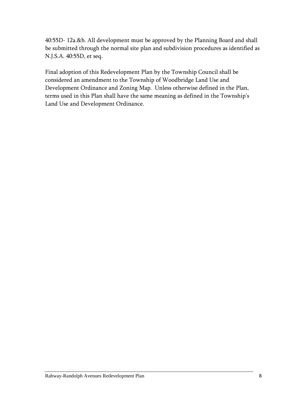40:55D- 12a.&b. All development must be approved by the Planning Board and shall be submitted through the normal site plan and subdivision procedures as identified as N.J.S.A. 40:55D, et seq.

Final adoption of this Redevelopment Plan by the Township Council shall be considered an amendment to the Township of Woodbridge Land Use and Development Ordinance and Zoning Map. Unless otherwise defined in the Plan, terms used in this Plan shall have the same meaning as defined in the Township's Land Use and Development Ordinance.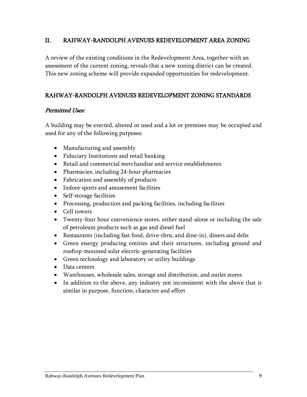# <span id="page-11-0"></span>II. RAHWAY-RANDOLPH AVENUES REDEVELOPMENT AREA ZONING

A review of the existing conditions in the Redevelopment Area, together with an assessment of the current zoning, reveals that a new zoning district can be created. This new zoning scheme will provide expanded opportunities for redevelopment.

# <span id="page-11-1"></span>RAHWAY-RANDOLPH AVENUES REDEVELOPMENT ZONING STANDARDS

#### Permitted Uses:

A building may be erected, altered or used and a lot or premises may be occupied and used for any of the following purposes:

- Manufacturing and assembly
- Fiduciary Institutions and retail banking
- Retail and commercial merchandise and service establishments
- Pharmacies, including 24-hour pharmacies
- Fabrication and assembly of products
- Indoor sports and amusement facilities
- Self-storage facilities
- Processing, production and packing facilities, including facilities
- Cell towers
- Twenty-four hour convenience stores, either stand-alone or including the sale of petroleum products such as gas and diesel fuel
- Restaurants (including fast food, drive-thru, and dine-in), diners and delis
- Green energy producing entities and their structures, including ground and rooftop-mounted solar electric-generating facilities
- Green technology and laboratory or utility buildings
- Data centers
- Warehouses, wholesale sales, storage and distribution, and outlet stores
- In addition to the above, any industry not inconsistent with the above that is similar in purpose, function, character and effort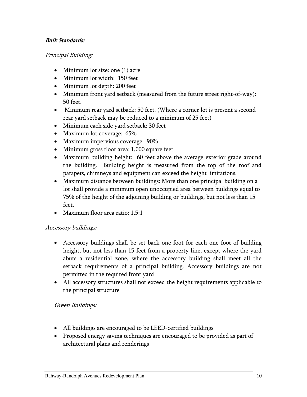# Bulk Standards:

#### Principal Building:

- Minimum lot size: one (1) acre
- Minimum lot width: 150 feet
- Minimum lot depth: 200 feet
- Minimum front yard setback (measured from the future street right-of-way): 50 feet.
- Minimum rear yard setback: 50 feet. (Where a corner lot is present a second rear yard setback may be reduced to a minimum of 25 feet)
- Minimum each side yard setback: 30 feet
- Maximum lot coverage: 65%
- Maximum impervious coverage: 90%
- Minimum gross floor area: 1,000 square feet
- Maximum building height: 60 feet above the average exterior grade around the building. Building height is measured from the top of the roof and parapets, chimneys and equipment can exceed the height limitations.
- Maximum distance between buildings: More than one principal building on a lot shall provide a minimum open unoccupied area between buildings equal to 75% of the height of the adjoining building or buildings, but not less than 15 feet.
- Maximum floor area ratio: 1.5:1

# Accessory buildings:

- Accessory buildings shall be set back one foot for each one foot of building height, but not less than 15 feet from a property line, except where the yard abuts a residential zone, where the accessory building shall meet all the setback requirements of a principal building. Accessory buildings are not permitted in the required front yard
- All accessory structures shall not exceed the height requirements applicable to the principal structure

# Green Buildings:

- All buildings are encouraged to be LEED-certified buildings
- Proposed energy saving techniques are encouraged to be provided as part of architectural plans and renderings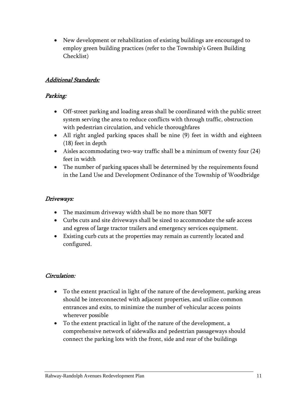New development or rehabilitation of existing buildings are encouraged to employ green building practices (refer to the Township's Green Building Checklist)

# Additional Standards:

# Parking:

- Off-street parking and loading areas shall be coordinated with the public street system serving the area to reduce conflicts with through traffic, obstruction with pedestrian circulation, and vehicle thoroughfares
- All right angled parking spaces shall be nine (9) feet in width and eighteen (18) feet in depth
- Aisles accommodating two-way traffic shall be a minimum of twenty four (24) feet in width
- The number of parking spaces shall be determined by the requirements found in the Land Use and Development Ordinance of the Township of Woodbridge

# Driveways:

- The maximum driveway width shall be no more than 50FT
- Curbs cuts and site driveways shall be sized to accommodate the safe access and egress of large tractor trailers and emergency services equipment.
- Existing curb cuts at the properties may remain as currently located and configured.

# Circulation:

- To the extent practical in light of the nature of the development, parking areas should be interconnected with adjacent properties, and utilize common entrances and exits, to minimize the number of vehicular access points wherever possible
- To the extent practical in light of the nature of the development, a comprehensive network of sidewalks and pedestrian passageways should connect the parking lots with the front, side and rear of the buildings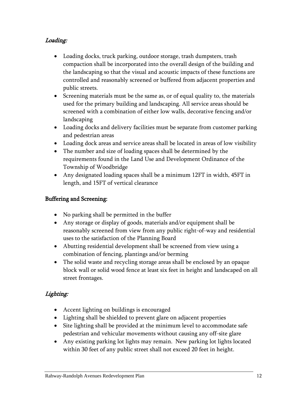# Loading:

- Loading docks, truck parking, outdoor storage, trash dumpsters, trash compaction shall be incorporated into the overall design of the building and the landscaping so that the visual and acoustic impacts of these functions are controlled and reasonably screened or buffered from adjacent properties and public streets.
- Screening materials must be the same as, or of equal quality to, the materials used for the primary building and landscaping. All service areas should be screened with a combination of either low walls, decorative fencing and/or landscaping
- Loading docks and delivery facilities must be separate from customer parking and pedestrian areas
- Loading dock areas and service areas shall be located in areas of low visibility
- The number and size of loading spaces shall be determined by the requirements found in the Land Use and Development Ordinance of the Township of Woodbridge
- Any designated loading spaces shall be a minimum 12FT in width, 45FT in length, and 15FT of vertical clearance

# Buffering and Screening:

- No parking shall be permitted in the buffer
- Any storage or display of goods, materials and/or equipment shall be reasonably screened from view from any public right-of-way and residential uses to the satisfaction of the Planning Board
- Abutting residential development shall be screened from view using a combination of fencing, plantings and/or berming
- The solid waste and recycling storage areas shall be enclosed by an opaque block wall or solid wood fence at least six feet in height and landscaped on all street frontages.

# Lighting:

- Accent lighting on buildings is encouraged
- Lighting shall be shielded to prevent glare on adjacent properties
- Site lighting shall be provided at the minimum level to accommodate safe pedestrian and vehicular movements without causing any off-site glare
- Any existing parking lot lights may remain. New parking lot lights located within 30 feet of any public street shall not exceed 20 feet in height.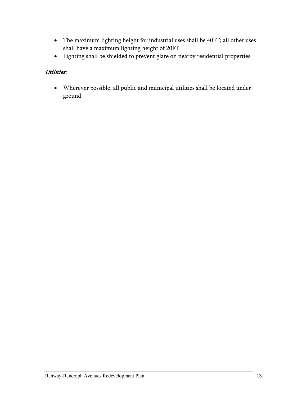- The maximum lighting height for industrial uses shall be 40FT; all other uses shall have a maximum lighting height of 20FT
- Lighting shall be shielded to prevent glare on nearby residential properties

# Utilities:

 Wherever possible, all public and municipal utilities shall be located underground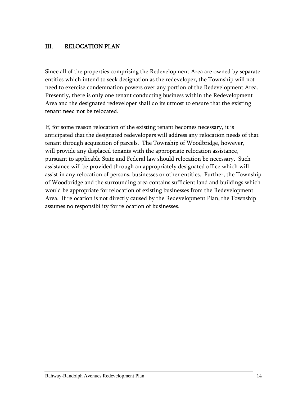# <span id="page-16-0"></span>III. RELOCATION PLAN

Since all of the properties comprising the Redevelopment Area are owned by separate entities which intend to seek designation as the redeveloper, the Township will not need to exercise condemnation powers over any portion of the Redevelopment Area. Presently, there is only one tenant conducting business within the Redevelopment Area and the designated redeveloper shall do its utmost to ensure that the existing tenant need not be relocated.

If, for some reason relocation of the existing tenant becomes necessary, it is anticipated that the designated redevelopers will address any relocation needs of that tenant through acquisition of parcels. The Township of Woodbridge, however, will provide any displaced tenants with the appropriate relocation assistance, pursuant to applicable State and Federal law should relocation be necessary. Such assistance will be provided through an appropriately designated office which will assist in any relocation of persons, businesses or other entities. Further, the Township of Woodbridge and the surrounding area contains sufficient land and buildings which would be appropriate for relocation of existing businesses from the Redevelopment Area. If relocation is not directly caused by the Redevelopment Plan, the Township assumes no responsibility for relocation of businesses.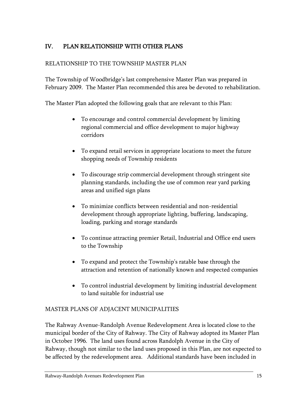# <span id="page-17-0"></span>IV. PLAN RELATIONSHIP WITH OTHER PLANS

# RELATIONSHIP TO THE TOWNSHIP MASTER PLAN

The Township of Woodbridge's last comprehensive Master Plan was prepared in February 2009. The Master Plan recommended this area be devoted to rehabilitation.

The Master Plan adopted the following goals that are relevant to this Plan:

- To encourage and control commercial development by limiting regional commercial and office development to major highway corridors
- To expand retail services in appropriate locations to meet the future shopping needs of Township residents
- To discourage strip commercial development through stringent site planning standards, including the use of common rear yard parking areas and unified sign plans
- To minimize conflicts between residential and non-residential development through appropriate lighting, buffering, landscaping, loading, parking and storage standards
- To continue attracting premier Retail, Industrial and Office end users to the Township
- To expand and protect the Township's ratable base through the attraction and retention of nationally known and respected companies
- To control industrial development by limiting industrial development to land suitable for industrial use

# MASTER PLANS OF ADJACENT MUNICIPALITIES

The Rahway Avenue-Randolph Avenue Redevelopment Area is located close to the municipal border of the City of Rahway. The City of Rahway adopted its Master Plan in October 1996. The land uses found across Randolph Avenue in the City of Rahway, though not similar to the land uses proposed in this Plan, are not expected to be affected by the redevelopment area. Additional standards have been included in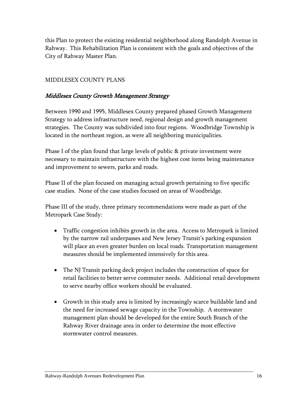this Plan to protect the existing residential neighborhood along Randolph Avenue in Rahway. This Rehabilitation Plan is consistent with the goals and objectives of the City of Rahway Master Plan.

# MIDDLESEX COUNTY PLANS

# Middlesex County Growth Management Strategy

Between 1990 and 1995, Middlesex County prepared phased Growth Management Strategy to address infrastructure need, regional design and growth management strategies. The County was subdivided into four regions. Woodbridge Township is located in the northeast region, as were all neighboring municipalities.

Phase I of the plan found that large levels of public & private investment were necessary to maintain infrastructure with the highest cost items being maintenance and improvement to sewers, parks and roads.

Phase II of the plan focused on managing actual growth pertaining to five specific case studies. None of the case studies focused on areas of Woodbridge.

Phase III of the study, three primary recommendations were made as part of the Metropark Case Study:

- Traffic congestion inhibits growth in the area. Access to Metropark is limited by the narrow rail underpasses and New Jersey Transit's parking expansion will place an even greater burden on local roads. Transportation management measures should be implemented intensively for this area.
- The NJ Transit parking deck project includes the construction of space for retail facilities to better serve commuter needs. Additional retail development to serve nearby office workers should be evaluated.
- Growth in this study area is limited by increasingly scarce buildable land and the need for increased sewage capacity in the Township. A stormwater management plan should be developed for the entire South Branch of the Rahway River drainage area in order to determine the most effective stormwater control measures.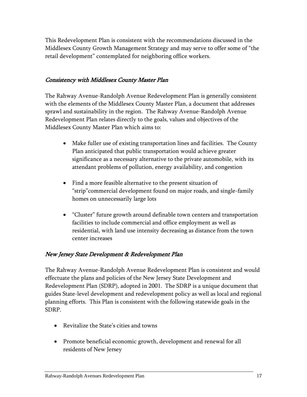This Redevelopment Plan is consistent with the recommendations discussed in the Middlesex County Growth Management Strategy and may serve to offer some of "the retail development" contemplated for neighboring office workers.

# Consistency with Middlesex County Master Plan

The Rahway Avenue-Randolph Avenue Redevelopment Plan is generally consistent with the elements of the Middlesex County Master Plan, a document that addresses sprawl and sustainability in the region. The Rahway Avenue-Randolph Avenue Redevelopment Plan relates directly to the goals, values and objectives of the Middlesex County Master Plan which aims to:

- Make fuller use of existing transportation lines and facilities. The County Plan anticipated that public transportation would achieve greater significance as a necessary alternative to the private automobile, with its attendant problems of pollution, energy availability, and congestion
- Find a more feasible alternative to the present situation of "strip"commercial development found on major roads, and single-family homes on unnecessarily large lots
- "Cluster" future growth around definable town centers and transportation facilities to include commercial and office employment as well as residential, with land use intensity decreasing as distance from the town center increases

# New Jersey State Development & Redevelopment Plan

The Rahway Avenue-Randolph Avenue Redevelopment Plan is consistent and would effectuate the plans and policies of the New Jersey State Development and Redevelopment Plan (SDRP), adopted in 2001. The SDRP is a unique document that guides State-level development and redevelopment policy as well as local and regional planning efforts. This Plan is consistent with the following statewide goals in the SDRP.

- Revitalize the State's cities and towns
- Promote beneficial economic growth, development and renewal for all residents of New Jersey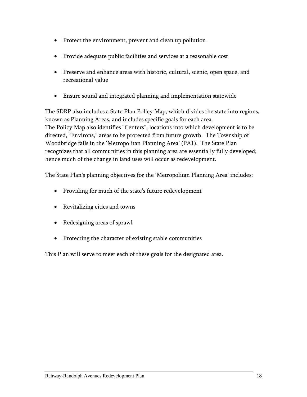- Protect the environment, prevent and clean up pollution
- Provide adequate public facilities and services at a reasonable cost
- Preserve and enhance areas with historic, cultural, scenic, open space, and recreational value
- Ensure sound and integrated planning and implementation statewide

The SDRP also includes a State Plan Policy Map, which divides the state into regions, known as Planning Areas, and includes specific goals for each area. The Policy Map also identifies "Centers", locations into which development is to be directed, "Environs," areas to be protected from future growth. The Township of Woodbridge falls in the 'Metropolitan Planning Area' (PA1). The State Plan recognizes that all communities in this planning area are essentially fully developed; hence much of the change in land uses will occur as redevelopment.

The State Plan's planning objectives for the 'Metropolitan Planning Area' includes:

- Providing for much of the state's future redevelopment
- Revitalizing cities and towns
- Redesigning areas of sprawl
- Protecting the character of existing stable communities

This Plan will serve to meet each of these goals for the designated area.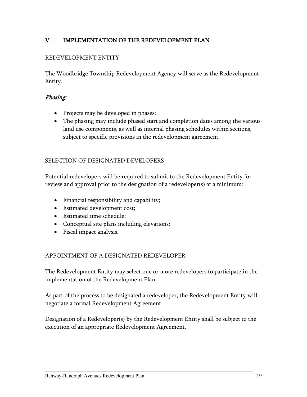# <span id="page-21-0"></span>V. IMPLEMENTATION OF THE REDEVELOPMENT PLAN

#### REDEVELOPMENT ENTITY

The Woodbridge Township Redevelopment Agency will serve as the Redevelopment Entity.

#### Phasing:

- Projects may be developed in phases;
- The phasing may include phased start and completion dates among the various land use components, as well as internal phasing schedules within sections, subject to specific provisions in the redevelopment agreement.

#### SELECTION OF DESIGNATED DEVELOPERS

Potential redevelopers will be required to submit to the Redevelopment Entity for review and approval prior to the designation of a redeveloper(s) at a minimum:

- Financial responsibility and capability;
- Estimated development cost;
- Estimated time schedule;
- Conceptual site plans including elevations;
- Fiscal impact analysis.

#### APPOINTMENT OF A DESIGNATED REDEVELOPER

The Redevelopment Entity may select one or more redevelopers to participate in the implementation of the Redevelopment Plan.

As part of the process to be designated a redeveloper, the Redevelopment Entity will negotiate a formal Redevelopment Agreement.

Designation of a Redeveloper(s) by the Redevelopment Entity shall be subject to the execution of an appropriate Redevelopment Agreement.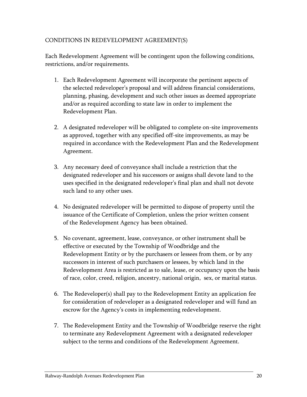# CONDITIONS IN REDEVELOPMENT AGREEMENT(S)

Each Redevelopment Agreement will be contingent upon the following conditions, restrictions, and/or requirements.

- 1. Each Redevelopment Agreement will incorporate the pertinent aspects of the selected redeveloper's proposal and will address financial considerations, planning, phasing, development and such other issues as deemed appropriate and/or as required according to state law in order to implement the Redevelopment Plan.
- 2. A designated redeveloper will be obligated to complete on-site improvements as approved, together with any specified off-site improvements, as may be required in accordance with the Redevelopment Plan and the Redevelopment Agreement.
- 3. Any necessary deed of conveyance shall include a restriction that the designated redeveloper and his successors or assigns shall devote land to the uses specified in the designated redeveloper's final plan and shall not devote such land to any other uses.
- 4. No designated redeveloper will be permitted to dispose of property until the issuance of the Certificate of Completion, unless the prior written consent of the Redevelopment Agency has been obtained.
- 5. No covenant, agreement, lease, conveyance, or other instrument shall be effective or executed by the Township of Woodbridge and the Redevelopment Entity or by the purchasers or lessees from them, or by any successors in interest of such purchasers or lessees, by which land in the Redevelopment Area is restricted as to sale, lease, or occupancy upon the basis of race, color, creed, religion, ancestry, national origin, sex, or marital status.
- 6. The Redeveloper(s) shall pay to the Redevelopment Entity an application fee for consideration of redeveloper as a designated redeveloper and will fund an escrow for the Agency's costs in implementing redevelopment.
- 7. The Redevelopment Entity and the Township of Woodbridge reserve the right to terminate any Redevelopment Agreement with a designated redeveloper subject to the terms and conditions of the Redevelopment Agreement.